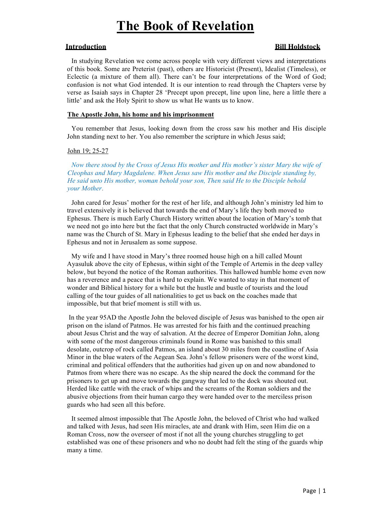# **The Book of Revelation**

# **Introduction Bill Holdstock**

In studying Revelation we come across people with very different views and interpretations of this book. Some are Preterist (past), others are Historicist (Present), Idealist (Timeless), or Eclectic (a mixture of them all). There can't be four interpretations of the Word of God; confusion is not what God intended. It is our intention to read through the Chapters verse by verse as Isaiah says in Chapter 28 'Precept upon precept, line upon line, here a little there a little' and ask the Holy Spirit to show us what He wants us to know.

# **The Apostle John, his home and his imprisonment**

You remember that Jesus, looking down from the cross saw his mother and His disciple John standing next to her. You also remember the scripture in which Jesus said;

# John 19; 25-27

*Now there stood by the Cross of Jesus His mother and His mother's sister Mary the wife of Cleophas and Mary Magdalene. When Jesus saw His mother and the Disciple standing by, He said unto His mother, woman behold your son, Then said He to the Disciple behold your Mother*.

John cared for Jesus' mother for the rest of her life, and although John's ministry led him to travel extensively it is believed that towards the end of Mary's life they both moved to Ephesus. There is much Early Church History written about the location of Mary's tomb that we need not go into here but the fact that the only Church constructed worldwide in Mary's name was the Church of St. Mary in Ephesus leading to the belief that she ended her days in Ephesus and not in Jerusalem as some suppose.

My wife and I have stood in Mary's three roomed house high on a hill called Mount Ayasuluk above the city of Ephesus, within sight of the Temple of Artemis in the deep valley below, but beyond the notice of the Roman authorities. This hallowed humble home even now has a reverence and a peace that is hard to explain. We wanted to stay in that moment of wonder and Biblical history for a while but the hustle and bustle of tourists and the loud calling of the tour guides of all nationalities to get us back on the coaches made that impossible, but that brief moment is still with us.

In the year 95AD the Apostle John the beloved disciple of Jesus was banished to the open air prison on the island of Patmos. He was arrested for his faith and the continued preaching about Jesus Christ and the way of salvation. At the decree of Emperor Domitian John, along with some of the most dangerous criminals found in Rome was banished to this small desolate, outcrop of rock called Patmos, an island about 30 miles from the coastline of Asia Minor in the blue waters of the Aegean Sea. John's fellow prisoners were of the worst kind, criminal and political offenders that the authorities had given up on and now abandoned to Patmos from where there was no escape. As the ship neared the dock the command for the prisoners to get up and move towards the gangway that led to the dock was shouted out. Herded like cattle with the crack of whips and the screams of the Roman soldiers and the abusive objections from their human cargo they were handed over to the merciless prison guards who had seen all this before.

It seemed almost impossible that The Apostle John, the beloved of Christ who had walked and talked with Jesus, had seen His miracles, ate and drank with Him, seen Him die on a Roman Cross, now the overseer of most if not all the young churches struggling to get established was one of these prisoners and who no doubt had felt the sting of the guards whip many a time.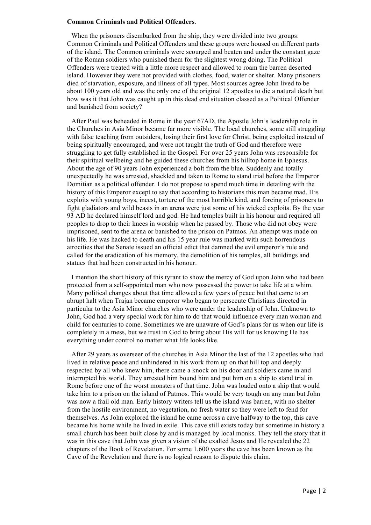# **Common Criminals and Political Offenders**.

When the prisoners disembarked from the ship, they were divided into two groups: Common Criminals and Political Offenders and these groups were housed on different parts of the island. The Common criminals were scourged and beaten and under the constant gaze of the Roman soldiers who punished them for the slightest wrong doing. The Political Offenders were treated with a little more respect and allowed to roam the barren deserted island. However they were not provided with clothes, food, water or shelter. Many prisoners died of starvation, exposure, and illness of all types. Most sources agree John lived to be about 100 years old and was the only one of the original 12 apostles to die a natural death but how was it that John was caught up in this dead end situation classed as a Political Offender and banished from society?

After Paul was beheaded in Rome in the year 67AD, the Apostle John's leadership role in the Churches in Asia Minor became far more visible. The local churches, some still struggling with false teaching from outsiders, losing their first love for Christ, being exploited instead of being spiritually encouraged, and were not taught the truth of God and therefore were struggling to get fully established in the Gospel. For over 25 years John was responsible for their spiritual wellbeing and he guided these churches from his hilltop home in Ephesus. About the age of 90 years John experienced a bolt from the blue. Suddenly and totally unexpectedly he was arrested, shackled and taken to Rome to stand trial before the Emperor Domitian as a political offender. I do not propose to spend much time in detailing with the history of this Emperor except to say that according to historians this man became mad. His exploits with young boys, incest, torture of the most horrible kind, and forcing of prisoners to fight gladiators and wild beasts in an arena were just some of his wicked exploits. By the year 93 AD he declared himself lord and god. He had temples built in his honour and required all peoples to drop to their knees in worship when he passed by. Those who did not obey were imprisoned, sent to the arena or banished to the prison on Patmos. An attempt was made on his life. He was hacked to death and his 15 year rule was marked with such horrendous atrocities that the Senate issued an official edict that damned the evil emperor's rule and called for the eradication of his memory, the demolition of his temples, all buildings and statues that had been constructed in his honour.

I mention the short history of this tyrant to show the mercy of God upon John who had been protected from a self-appointed man who now possessed the power to take life at a whim. Many political changes about that time allowed a few years of peace but that came to an abrupt halt when Trajan became emperor who began to persecute Christians directed in particular to the Asia Minor churches who were under the leadership of John. Unknown to John, God had a very special work for him to do that would influence every man woman and child for centuries to come. Sometimes we are unaware of God's plans for us when our life is completely in a mess, but we trust in God to bring about His will for us knowing He has everything under control no matter what life looks like.

After 29 years as overseer of the churches in Asia Minor the last of the 12 apostles who had lived in relative peace and unhindered in his work from up on that hill top and deeply respected by all who knew him, there came a knock on his door and soldiers came in and interrupted his world. They arrested him bound him and put him on a ship to stand trial in Rome before one of the worst monsters of that time. John was loaded onto a ship that would take him to a prison on the island of Patmos. This would be very tough on any man but John was now a frail old man. Early history writers tell us the island was barren, with no shelter from the hostile environment, no vegetation, no fresh water so they were left to fend for themselves. As John explored the island he came across a cave halfway to the top, this cave became his home while he lived in exile. This cave still exists today but sometime in history a small church has been built close by and is managed by local monks. They tell the story that it was in this cave that John was given a vision of the exalted Jesus and He revealed the 22 chapters of the Book of Revelation. For some 1,600 years the cave has been known as the Cave of the Revelation and there is no logical reason to dispute this claim.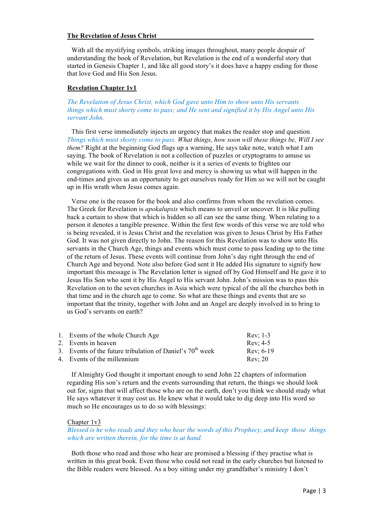# **The Revelation of Jesus Christ**

With all the mystifying symbols, striking images throughout, many people despair of understanding the book of Revelation, but Revelation is the end of a wonderful story that started in Genesis Chapter 1, and like all good story's it does have a happy ending for those that love God and His Son Jesus.

# **Revelation Chapter 1v1**

# *The Revelation of Jesus Christ, which God gave unto Him to show unto His servants things which must shorty come to pass; and He sent and signified it by His Angel unto His servant John.*

This first verse immediately injects an urgency that makes the reader stop and question. *Things which must shorty come to pass. What things, how soon will these things be, Will I see them?* Right at the beginning God flags up a warning, He says take note, watch what I am saying. The book of Revelation is not a collection of puzzles or cryptograms to amuse us while we wait for the dinner to cook, neither is it a series of events to frighten our congregations with. God in His great love and mercy is showing us what will happen in the end-times and gives us an opportunity to get ourselves ready for Him so we will not be caught up in His wrath when Jesus comes again.

Verse one is the reason for the book and also confirms from whom the revelation comes. The Greek for Revelation is *apokalupsis* which means to unveil or uncover. It is like pulling back a curtain to show that which is hidden so all can see the same thing. When relating to a person it denotes a tangible presence. Within the first few words of this verse we are told who is being revealed, it is Jesus Christ and the revelation was given to Jesus Christ by His Father God. It was not given directly to John. The reason for this Revelation was to show unto His servants in the Church Age, things and events which must come to pass leading up to the time of the return of Jesus. These events will continue from John's day right through the end of Church Age and beyond. Note also before God sent it He added His signature to signify how important this message is The Revelation letter is signed off by God Himself and He gave it to Jesus His Son who sent it by His Angel to His servant John. John's mission was to pass this Revelation on to the seven churches in Asia which were typical of the all the churches both in that time and in the church age to come. So what are these things and events that are so important that the trinity, together with John and an Angel are deeply involved in to bring to us God's servants on earth?

|                                                             | $Rev: 1-3$                        |
|-------------------------------------------------------------|-----------------------------------|
| 2. Events in heaven                                         | Rev: 4-5                          |
| 3. Events of the future tribulation of Daniel's $70th$ week | Rev: $6-19$                       |
| 4. Events of the millennium                                 | <b>Rev: 20</b>                    |
|                                                             | 1. Events of the whole Church Age |

If Almighty God thought it important enough to send John 22 chapters of information regarding His son's return and the events surrounding that return, the things we should look out for, signs that will affect those who are on the earth, don't you think we should study what He says whatever it may cost us. He knew what it would take to dig deep into His word so much so He encourages us to do so with blessings:

# Chapter 1v3

*Blessed is he who reads and they who hear the words of this Prophecy, and keep those things which are written therein, for the time is at hand.*

Both those who read and those who hear are promised a blessing if they practise what is written in this great book. Even those who could not read in the early churches but listened to the Bible readers were blessed. As a boy sitting under my grandfather's ministry I don't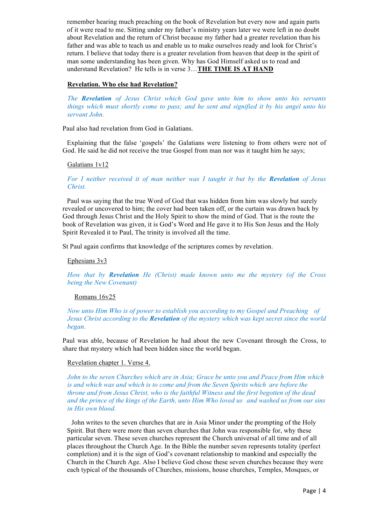remember hearing much preaching on the book of Revelation but every now and again parts of it were read to me. Sitting under my father's ministry years later we were left in no doubt about Revelation and the return of Christ because my father had a greater revelation than his father and was able to teach us and enable us to make ourselves ready and look for Christ's return. I believe that today there is a greater revelation from heaven that deep in the spirit of man some understanding has been given. Why has God Himself asked us to read and understand Revelation? He tells is in verse 3…**THE TIME IS AT HAND**

# **Revelation. Who else had Revelation?**

*The Revelation of Jesus Christ which God gave unto him to show unto his servants things which must shortly come to pass; and he sent and signified it by his angel unto his servant John.*

Paul also had revelation from God in Galatians.

Explaining that the false 'gospels' the Galatians were listening to from others were not of God. He said he did not receive the true Gospel from man nor was it taught him he says;

# Galatians 1v12

*For I neither received it of man neither was I taught it but by the Revelation of Jesus Christ.*

Paul was saying that the true Word of God that was hidden from him was slowly but surely revealed or uncovered to him; the cover had been taken off, or the curtain was drawn back by God through Jesus Christ and the Holy Spirit to show the mind of God. That is the route the book of Revelation was given, it is God's Word and He gave it to His Son Jesus and the Holy Spirit Revealed it to Paul, The trinity is involved all the time.

St Paul again confirms that knowledge of the scriptures comes by revelation.

Ephesians 3v3

*How that by Revelation He (Christ) made known unto me the mystery (of the Cross being the New Covenant)*

# Romans 16v25

*Now unto Him Who is of power to establish you according to my Gospel and Preaching of Jesus Christ according to the Revelation of the mystery which was kept secret since the world began.*

Paul was able, because of Revelation he had about the new Covenant through the Cross, to share that mystery which had been hidden since the world began.

# Revelation chapter 1. Verse 4.

*John to the seven Churches which are in Asia; Grace be unto you and Peace from Him which is and which was and which is to come and from the Seven Spirits which are before the throne and from Jesus Christ, who is the faithful Witness and the first begotten of the dead and the prince of the kings of the Earth, unto Him Who loved us and washed us from our sins in His own blood.*

John writes to the seven churches that are in Asia Minor under the prompting of the Holy Spirit. But there were more than seven churches that John was responsible for, why these particular seven. These seven churches represent the Church universal of all time and of all places throughout the Church Age. In the Bible the number seven represents totality (perfect completion) and it is the sign of God's covenant relationship to mankind and especially the Church in the Church Age. Also I believe God chose these seven churches because they were each typical of the thousands of Churches, missions, house churches, Temples, Mosques, or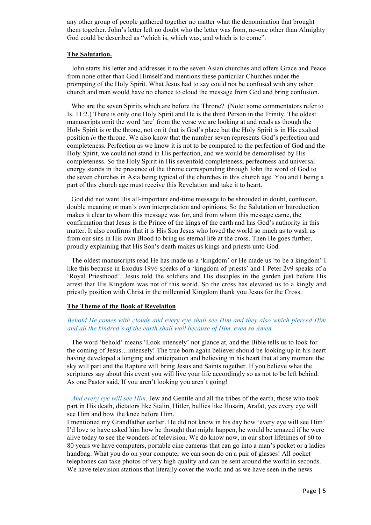any other group of people gathered together no matter what the denomination that brought them together. John's letter left no doubt who the letter was from, no-one other than Almighty God could be described as "which is, which was, and which is to come".

# **The Salutation.**

John starts his letter and addresses it to the seven Asian churches and offers Grace and Peace from none other than God Himself and mentions these particular Churches under the prompting of the Holy Spirit. What Jesus had to say could not be confused with any other church and man would have no chance to cloud the message from God and bring confusion.

Who are the seven Spirits which are before the Throne? (Note: some commentators refer to Is. 11:2.) There is only one Holy Spirit and He is the third Person in the Trinity. The oldest manuscripts omit the word 'are' from the verse we are looking at and reads as though the Holy Spirit is *in* the throne, not on it that is God's place but the Holy Spirit is in His exalted position *in* the throne. We also know that the number seven represents God's perfection and completeness. Perfection as we know it is not to be compared to the perfection of God and the Holy Spirit, we could not stand in His perfection, and we would be demoralised by His completeness. So the Holy Spirit in His sevenfold completeness, perfectness and universal energy stands in the presence of the throne corresponding through John the word of God to the seven churches in Asia being typical of the churches in this church age. You and I being a part of this church age must receive this Revelation and take it to heart.

God did not want His all-important end-time message to be shrouded in doubt, confusion, double meaning or man's own interpretation and opinions. So the Salutation or Introduction makes it clear to whom this message was for, and from whom this message came, the confirmation that Jesus is the Prince of the kings of the earth and has God's authority in this matter. It also confirms that it is His Son Jesus who loved the world so much as to wash us from our sins in His own Blood to bring us eternal life at the cross. Then He goes further, proudly explaining that His Son's death makes us kings and priests unto God.

The oldest manuscripts read He has made us a 'kingdom' or He made us 'to be a kingdom' I like this because in Exodus 19v6 speaks of a 'kingdom of priests' and 1 Peter 2v9 speaks of a 'Royal Priesthood', Jesus told the soldiers and His disciples in the garden just before His arrest that His Kingdom was not of this world. So the cross has elevated us to a kingly and priestly position with Christ in the millennial Kingdom thank you Jesus for the Cross.

# **The Theme of the Book of Revelation**

# *Behold He comes with clouds and every eye shall see Him and they also which pierced Him and all the kindred's of the earth shall wail because of Him, even so Amen.*

The word 'behold' means 'Look intensely' not glance at, and the Bible tells us to look for the coming of Jesus…intensely! The true born again believer should be looking up in his heart having developed a longing and anticipation and believing in his heart that at any moment the sky will part and the Rapture will bring Jesus and Saints together. If you believe what the scriptures say about this event you will live your life accordingly so as not to be left behind. As one Pastor said, If you aren't looking you aren't going!

*And every eye will see Him*. Jew and Gentile and all the tribes of the earth, those who took part in His death, dictators like Stalin, Hitler, bullies like Husain, Arafat, yes every eye will see Him and bow the knee before Him.

I mentioned my Grandfather earlier. He did not know in his day how 'every eye will see Him' I'd love to have asked him how he thought that might happen, he would be amazed if he were alive today to see the wonders of television. We do know now, in our short lifetimes of 60 to 80 years we have computers, portable cine cameras that can go into a man's pocket or a ladies handbag. What you do on your computer we can soon do on a pair of glasses! All pocket telephones can take photos of very high quality and can be sent around the world in seconds. We have television stations that literally cover the world and as we have seen in the news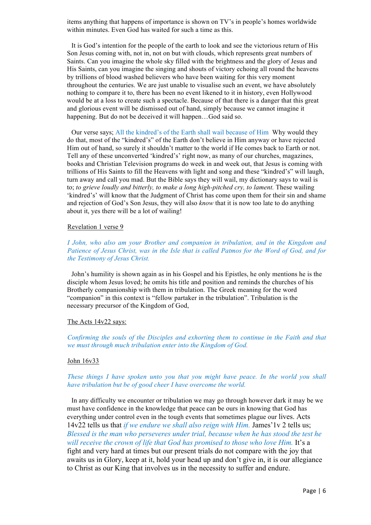items anything that happens of importance is shown on TV's in people's homes worldwide within minutes. Even God has waited for such a time as this.

It is God's intention for the people of the earth to look and see the victorious return of His Son Jesus coming with, not in, not on but with clouds, which represents great numbers of Saints. Can you imagine the whole sky filled with the brightness and the glory of Jesus and His Saints, can you imagine the singing and shouts of victory echoing all round the heavens by trillions of blood washed believers who have been waiting for this very moment throughout the centuries. We are just unable to visualise such an event, we have absolutely nothing to compare it to, there has been no event likened to it in history, even Hollywood would be at a loss to create such a spectacle. Because of that there is a danger that this great and glorious event will be dismissed out of hand, simply because we cannot imagine it happening. But do not be deceived it will happen...God said so.

Our verse says; All the kindred's of the Earth shall wail because of Him Why would they do that, most of the "kindred's" of the Earth don't believe in Him anyway or have rejected Him out of hand, so surely it shouldn't matter to the world if He comes back to Earth or not. Tell any of these unconverted 'kindred's' right now, as many of our churches, magazines, books and Christian Television programs do week in and week out, that Jesus is coming with trillions of His Saints to fill the Heavens with light and song and these "kindred's" will laugh, turn away and call you mad. But the Bible says they will wail, my dictionary says to wail is to; *to grieve loudly and bitterly, to make a long high-pitched cry, to lament.* These wailing 'kindred's' will know that the Judgment of Christ has come upon them for their sin and shame and rejection of God's Son Jesus, they will also *know* that it is now too late to do anything about it, yes there will be a lot of wailing!

#### Revelation 1 verse 9

*I John, who also am your Brother and companion in tribulation, and in the Kingdom and Patience of Jesus Christ, was in the Isle that is called Patmos for the Word of God, and for the Testimony of Jesus Christ.*

John's humility is shown again as in his Gospel and his Epistles, he only mentions he is the disciple whom Jesus loved; he omits his title and position and reminds the churches of his Brotherly companionship with them in tribulation. The Greek meaning for the word "companion" in this context is "fellow partaker in the tribulation". Tribulation is the necessary precursor of the Kingdom of God,

#### The Acts 14v22 says:

*Confirming the souls of the Disciples and exhorting them to continue in the Faith and that we must through much tribulation enter into the Kingdom of God.*

### John 16v33

# *These things I have spoken unto you that you might have peace. In the world you shall have tribulation but be of good cheer I have overcome the world.*

In any difficulty we encounter or tribulation we may go through however dark it may be we must have confidence in the knowledge that peace can be ours in knowing that God has everything under control even in the tough events that sometimes plague our lives. Acts 14v22 tells us that *if we endure we shall also reign with Him.* James'1v 2 tells us; *Blessed is the man who perseveres under trial, because when he has stood the test he will receive the crown of life that God has promised to those who love Him.* It's a fight and very hard at times but our present trials do not compare with the joy that awaits us in Glory, keep at it, hold your head up and don't give in, it is our allegiance to Christ as our King that involves us in the necessity to suffer and endure.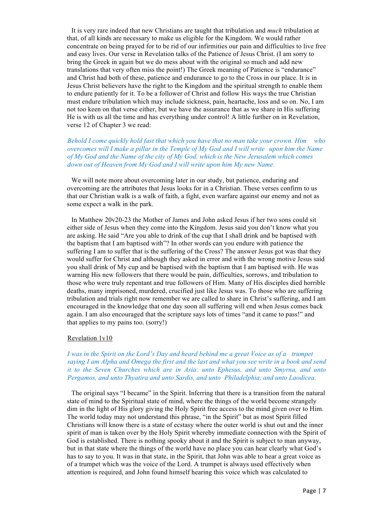It is very rare indeed that new Christians are taught that tribulation and *much* tribulation at that, of all kinds are necessary to make us eligible for the Kingdom. We would rather concentrate on being prayed for to be rid of our infirmities our pain and difficulties to live free and easy lives. Our verse in Revelation talks of the Patience of Jesus Christ. (I am sorry to bring the Greek in again but we do mess about with the original so much and add new translations that very often miss the point!) The Greek meaning of Patience is "endurance" and Christ had both of these, patience and endurance to go to the Cross in our place. It is in Jesus Christ believers have the right to the Kingdom and the spiritual strength to enable them to endure patiently for it. To be a follower of Christ and follow His ways the true Christian must endure tribulation which may include sickness, pain, heartache, loss and so on. No, I am not too keen on that verse either, but we have the assurance that as we share in His suffering He is with us all the time and has everything under control! A little further on in Revelation, verse 12 of Chapter 3 we read:

*Behold I come quickly hold fast that which you have that no man take your crown. Him who overcomes will I make a pillar in the Temple of My God and I will write upon him the Name of My God and the Name of the city of My God, which is the New Jerusalem which comes down out of Heaven from My God and I will write upon him My new Name.*

We will note more about overcoming later in our study, but patience, enduring and overcoming are the attributes that Jesus looks for in a Christian. These verses confirm to us that our Christian walk is a walk of faith, a fight, even warfare against our enemy and not as some expect a walk in the park.

In Matthew 20v20-23 the Mother of James and John asked Jesus if her two sons could sit either side of Jesus when they come into the Kingdom. Jesus said you don't know what you are asking. He said "Are you able to drink of the cup that I shall drink and be baptised with the baptism that I am baptised with"? In other words can you endure with patience the suffering I am to suffer that is the suffering of the Cross? The answer Jesus got was that they would suffer for Christ and although they asked in error and with the wrong motive Jesus said you shall drink of My cup and be baptised with the baptism that I am baptised with. He was warning His new followers that there would be pain, difficulties, sorrows, and tribulation to those who were truly repentant and true followers of Him. Many of His disciples died horrible deaths, many imprisoned, murdered, crucified just like Jesus was. To those who are suffering tribulation and trials right now remember we are called to share in Christ's suffering, and I am encouraged in the knowledge that one day soon all suffering will end when Jesus comes back again. I am also encouraged that the scripture says lots of times "and it came to pass!" and that applies to my pains too. (sorry!)

# Revelation 1v10

*I was in the Spirit on the Lord's Day and heard behind me a great Voice as of a trumpet saying I am Alpha and Omega the first and the last and what you see write in a book and send it to the Seven Churches which are in Asia: unto Ephesus, and unto Smyrna, and unto Pergamos, and unto Thyatira and unto Sardis, and unto Philadelphia, and unto Laodicea.*

The original says "I became" in the Spirit. Inferring that there is a transition from the natural state of mind to the Spiritual state of mind, where the things of the world become strangely dim in the light of His glory giving the Holy Spirit free access to the mind given over to Him. The world today may not understand this phrase, "in the Spirit" but as most Spirit filled Christians will know there is a state of ecstasy where the outer world is shut out and the inner spirit of man is taken over by the Holy Spirit whereby immediate connection with the Spirit of God is established. There is nothing spooky about it and the Spirit is subject to man anyway, but in that state where the things of the world have no place you can hear clearly what God's has to say to you. It was in that state, in the Spirit, that John was able to hear a great voice as of a trumpet which was the voice of the Lord. A trumpet is always used effectively when attention is required, and John found himself hearing this voice which was calculated to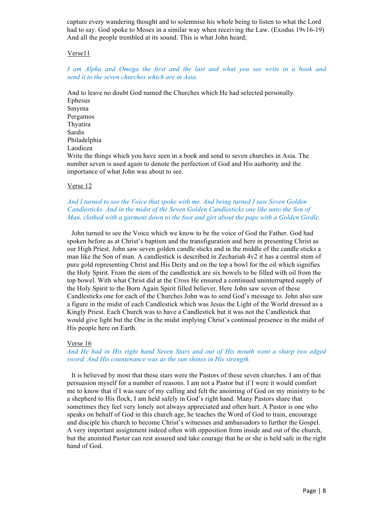capture every wandering thought and to solemnise his whole being to listen to what the Lord had to say. God spoke to Moses in a similar way when receiving the Law. (Exodus 19y16-19) And all the people trembled at its sound. This is what John heard;

# Verse11

# *I am Alpha and Omega the first and the last and what you see write in a book and send it to the seven churches which are in Asia.*

And to leave no doubt God named the Churches which He had selected personally. Ephesus Smyrna Pergamos Thyatira Sardis Philadelphia Laodicea Write the things which you have seen in a book and send to seven churches in Asia. The number seven is used again to denote the perfection of God and His authority and the importance of what John was about to see.

# Verse 12

# *And I turned to see the Voice that spoke with me. And being turned I saw Seven Golden Candlesticks. And in the midst of the Seven Golden Candlesticks one like unto the Son of Man, clothed with a garment down to the foot and girt about the paps with a Golden Girdle.*

John turned to see the Voice which we know to be the voice of God the Father. God had spoken before as at Christ's baptism and the transfiguration and here in presenting Christ as our High Priest. John saw seven golden candle sticks and in the middle of the candle sticks a man like the Son of man. A candlestick is described in Zechariah 4v2 it has a central stem of pure gold representing Christ and His Deity and on the top a bowl for the oil which signifies the Holy Spirit. From the stem of the candlestick are six bowels to be filled with oil from the top bowel. With what Christ did at the Cross He ensured a continued uninterrupted supply of the Holy Spirit to the Born Again Spirit filled believer. Here John saw seven of these Candlesticks one for each of the Churches John was to send God's message to. John also saw a figure in the midst of each Candlestick which was Jesus the Light of the World dressed as a Kingly Priest. Each Church was to have a Candlestick but it was not the Candlestick that would give light but the One in the midst implying Christ's continual presence in the midst of His people here on Earth.

# Verse 16

# *And He had in His right hand Seven Stars and out of His mouth went a sharp two edged sword. And His countenance was as the sun shines in His strength.*

It is believed by most that these stars were the Pastors of these seven churches. I am of that persuasion myself for a number of reasons. I am not a Pastor but if I were it would comfort me to know that if I was sure of my calling and felt the anointing of God on my ministry to be a shepherd to His flock, I am held safely in God's right hand. Many Pastors share that sometimes they feel very lonely not always appreciated and often hurt. A Pastor is one who speaks on behalf of God in this church age, he teaches the Word of God to train, encourage and disciple his church to become Christ's witnesses and ambassadors to further the Gospel. A very important assignment indeed often with opposition from inside and out of the church, but the anointed Pastor can rest assured and take courage that he or she is held safe in the right hand of God.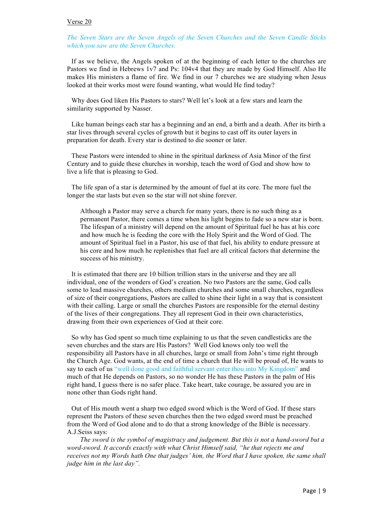# Verse 20

# *The Seven Stars are the Seven Angels of the Seven Churches and the Seven Candle Sticks which you saw are the Seven Churches.*

If as we believe, the Angels spoken of at the beginning of each letter to the churches are Pastors we find in Hebrews 1v7 and Ps: 104v4 that they are made by God Himself. Also He makes His ministers a flame of fire. We find in our 7 churches we are studying when Jesus looked at their works most were found wanting, what would He find today?

Why does God liken His Pastors to stars? Well let's look at a few stars and learn the similarity supported by Nasser.

Like human beings each star has a beginning and an end, a birth and a death. After its birth a star lives through several cycles of growth but it begins to cast off its outer layers in preparation for death. Every star is destined to die sooner or later.

These Pastors were intended to shine in the spiritual darkness of Asia Minor of the first Century and to guide these churches in worship, teach the word of God and show how to live a life that is pleasing to God.

The life span of a star is determined by the amount of fuel at its core. The more fuel the longer the star lasts but even so the star will not shine forever.

Although a Pastor may serve a church for many years, there is no such thing as a permanent Pastor, there comes a time when his light begins to fade so a new star is born. The lifespan of a ministry will depend on the amount of Spiritual fuel he has at his core and how much he is feeding the core with the Holy Spirit and the Word of God. The amount of Spiritual fuel in a Pastor, his use of that fuel, his ability to endure pressure at his core and how much he replenishes that fuel are all critical factors that determine the success of his ministry.

It is estimated that there are 10 billion trillion stars in the universe and they are all individual, one of the wonders of God's creation. No two Pastors are the same, God calls some to lead massive churches, others medium churches and some small churches, regardless of size of their congregations, Pastors are called to shine their light in a way that is consistent with their calling. Large or small the churches Pastors are responsible for the eternal destiny of the lives of their congregations. They all represent God in their own characteristics, drawing from their own experiences of God at their core.

So why has God spent so much time explaining to us that the seven candlesticks are the seven churches and the stars are His Pastors? Well God knows only too well the responsibility all Pastors have in all churches, large or small from John's time right through the Church Age. God wants, at the end of time a church that He will be proud of, He wants to say to each of us "well done good and faithful servant enter thou into My Kingdom" and much of that He depends on Pastors, so no wonder He has these Pastors in the palm of His right hand, I guess there is no safer place. Take heart, take courage, be assured you are in none other than Gods right hand.

Out of His mouth went a sharp two edged sword which is the Word of God. If these stars represent the Pastors of these seven churches then the two edged sword must be preached from the Word of God alone and to do that a strong knowledge of the Bible is necessary. A.J.Seiss says:

*The sword is the symbol of magistracy and judgement. But this is not a hand-sword but a word-sword. It accords exactly with what Christ Himself said, "he that rejects me and receives not my Words hath One that judges' him, the Word that I have spoken, the same shall judge him in the last day".*